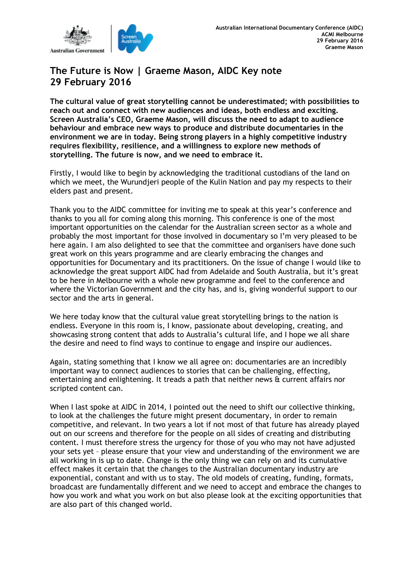

# **The Future is Now | Graeme Mason, AIDC Key note 29 February 2016**

**The cultural value of great storytelling cannot be underestimated; with possibilities to reach out and connect with new audiences and ideas, both endless and exciting. Screen Australia's CEO, Graeme Mason, will discuss the need to adapt to audience behaviour and embrace new ways to produce and distribute documentaries in the environment we are in today. Being strong players in a highly competitive industry requires flexibility, resilience, and a willingness to explore new methods of storytelling. The future is now, and we need to embrace it.**

Firstly, I would like to begin by acknowledging the traditional custodians of the land on which we meet, the Wurundjeri people of the Kulin Nation and pay my respects to their elders past and present.

Thank you to the AIDC committee for inviting me to speak at this year's conference and thanks to you all for coming along this morning. This conference is one of the most important opportunities on the calendar for the Australian screen sector as a whole and probably the most important for those involved in documentary so I'm very pleased to be here again. I am also delighted to see that the committee and organisers have done such great work on this years programme and are clearly embracing the changes and opportunities for Documentary and its practitioners. On the issue of change I would like to acknowledge the great support AIDC had from Adelaide and South Australia, but it's great to be here in Melbourne with a whole new programme and feel to the conference and where the Victorian Government and the city has, and is, giving wonderful support to our sector and the arts in general.

We here today know that the cultural value great storytelling brings to the nation is endless. Everyone in this room is, I know, passionate about developing, creating, and showcasing strong content that adds to Australia's cultural life, and I hope we all share the desire and need to find ways to continue to engage and inspire our audiences.

Again, stating something that I know we all agree on: documentaries are an incredibly important way to connect audiences to stories that can be challenging, effecting, entertaining and enlightening. It treads a path that neither news & current affairs nor scripted content can.

When I last spoke at AIDC in 2014, I pointed out the need to shift our collective thinking, to look at the challenges the future might present documentary, in order to remain competitive, and relevant. In two years a lot if not most of that future has already played out on our screens and therefore for the people on all sides of creating and distributing content. I must therefore stress the urgency for those of you who may not have adjusted your sets yet – please ensure that your view and understanding of the environment we are all working in is up to date. Change is the only thing we can rely on and its cumulative effect makes it certain that the changes to the Australian documentary industry are exponential, constant and with us to stay. The old models of creating, funding, formats, broadcast are fundamentally different and we need to accept and embrace the changes to how you work and what you work on but also please look at the exciting opportunities that are also part of this changed world.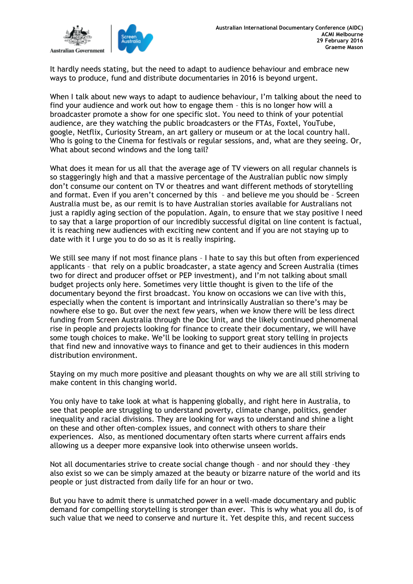

It hardly needs stating, but the need to adapt to audience behaviour and embrace new ways to produce, fund and distribute documentaries in 2016 is beyond urgent.

When I talk about new ways to adapt to audience behaviour, I'm talking about the need to find your audience and work out how to engage them – this is no longer how will a broadcaster promote a show for one specific slot. You need to think of your potential audience, are they watching the public broadcasters or the FTAs, Foxtel, YouTube, google, Netflix, Curiosity Stream, an art gallery or museum or at the local country hall. Who is going to the Cinema for festivals or regular sessions, and, what are they seeing. Or, What about second windows and the long tail?

What does it mean for us all that the average age of TV viewers on all regular channels is so staggeringly high and that a massive percentage of the Australian public now simply don't consume our content on TV or theatres and want different methods of storytelling and format. Even if you aren't concerned by this – and believe me you should be – Screen Australia must be, as our remit is to have Australian stories available for Australians not just a rapidly aging section of the population. Again, to ensure that we stay positive I need to say that a large proportion of our incredibly successful digital on line content is factual, it is reaching new audiences with exciting new content and if you are not staying up to date with it I urge you to do so as it is really inspiring.

We still see many if not most finance plans - I hate to say this but often from experienced applicants – that rely on a public broadcaster, a state agency and Screen Australia (times two for direct and producer offset or PEP investment), and I'm not talking about small budget projects only here. Sometimes very little thought is given to the life of the documentary beyond the first broadcast. You know on occasions we can live with this, especially when the content is important and intrinsically Australian so there's may be nowhere else to go. But over the next few years, when we know there will be less direct funding from Screen Australia through the Doc Unit, and the likely continued phenomenal rise in people and projects looking for finance to create their documentary, we will have some tough choices to make. We'll be looking to support great story telling in projects that find new and innovative ways to finance and get to their audiences in this modern distribution environment.

Staying on my much more positive and pleasant thoughts on why we are all still striving to make content in this changing world.

You only have to take look at what is happening globally, and right here in Australia, to see that people are struggling to understand poverty, climate change, politics, gender inequality and racial divisions. They are looking for ways to understand and shine a light on these and other often-complex issues, and connect with others to share their experiences. Also, as mentioned documentary often starts where current affairs ends allowing us a deeper more expansive look into otherwise unseen worlds.

Not all documentaries strive to create social change though – and nor should they –they also exist so we can be simply amazed at the beauty or bizarre nature of the world and its people or just distracted from daily life for an hour or two.

But you have to admit there is unmatched power in a well-made documentary and public demand for compelling storytelling is stronger than ever. This is why what you all do, is of such value that we need to conserve and nurture it. Yet despite this, and recent success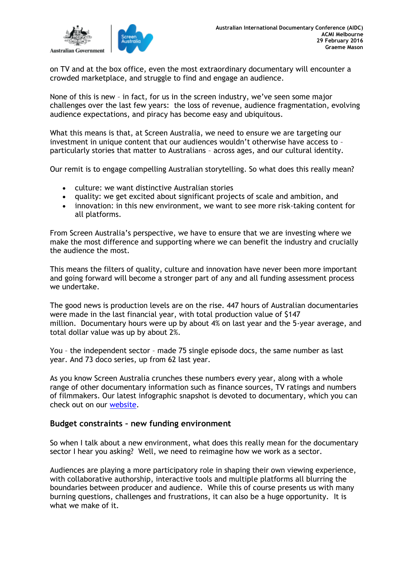

on TV and at the box office, even the most extraordinary documentary will encounter a crowded marketplace, and struggle to find and engage an audience.

None of this is new – in fact, for us in the screen industry, we've seen some major challenges over the last few years: the loss of revenue, audience fragmentation, evolving audience expectations, and piracy has become easy and ubiquitous.

What this means is that, at Screen Australia, we need to ensure we are targeting our investment in unique content that our audiences wouldn't otherwise have access to – particularly stories that matter to Australians – across ages, and our cultural identity.

Our remit is to engage compelling Australian storytelling. So what does this really mean?

- culture: we want distinctive Australian stories
- quality: we get excited about significant projects of scale and ambition, and
- innovation: in this new environment, we want to see more risk-taking content for all platforms.

From Screen Australia's perspective, we have to ensure that we are investing where we make the most difference and supporting where we can benefit the industry and crucially the audience the most.

This means the filters of quality, culture and innovation have never been more important and going forward will become a stronger part of any and all funding assessment process we undertake.

The good news is production levels are on the rise. 447 hours of Australian documentaries were made in the last financial year, with total production value of \$147 million. Documentary hours were up by about 4% on last year and the 5-year average, and total dollar value was up by about 2%.

You – the independent sector – made 75 single episode docs, the same number as last year. And 73 doco series, up from 62 last year.

As you know Screen Australia crunches these numbers every year, along with a whole range of other documentary information such as finance sources, TV ratings and numbers of filmmakers. Our latest infographic snapshot is devoted to documentary, which you can check out on our [website.](http://www.screenaustralia.gov.au/fact-finders/infographics/australian-documentaries-the-facts)

### **Budget constraints – new funding environment**

So when I talk about a new environment, what does this really mean for the documentary sector I hear you asking? Well, we need to reimagine how we work as a sector.

Audiences are playing a more participatory role in shaping their own viewing experience, with collaborative authorship, interactive tools and multiple platforms all blurring the boundaries between producer and audience. While this of course presents us with many burning questions, challenges and frustrations, it can also be a huge opportunity. It is what we make of it.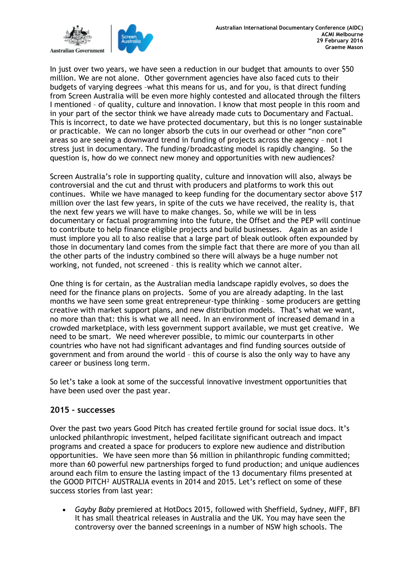

In just over two years, we have seen a reduction in our budget that amounts to over \$50 million. We are not alone. Other government agencies have also faced cuts to their budgets of varying degrees –what this means for us, and for you, is that direct funding from Screen Australia will be even more highly contested and allocated through the filters I mentioned – of quality, culture and innovation. I know that most people in this room and in your part of the sector think we have already made cuts to Documentary and Factual. This is incorrect, to date we have protected documentary, but this is no longer sustainable or practicable. We can no longer absorb the cuts in our overhead or other "non core" areas so are seeing a downward trend in funding of projects across the agency – not I stress just in documentary. The funding/broadcasting model is rapidly changing. So the question is, how do we connect new money and opportunities with new audiences?

Screen Australia's role in supporting quality, culture and innovation will also, always be controversial and the cut and thrust with producers and platforms to work this out continues. While we have managed to keep funding for the documentary sector above \$17 million over the last few years, in spite of the cuts we have received, the reality is, that the next few years we will have to make changes. So, while we will be in less documentary or factual programming into the future, the Offset and the PEP will continue to contribute to help finance eligible projects and build businesses. Again as an aside I must implore you all to also realise that a large part of bleak outlook often expounded by those in documentary land comes from the simple fact that there are more of you than all the other parts of the industry combined so there will always be a huge number not working, not funded, not screened – this is reality which we cannot alter.

One thing is for certain, as the Australian media landscape rapidly evolves, so does the need for the finance plans on projects. Some of you are already adapting. In the last months we have seen some great entrepreneur-type thinking – some producers are getting creative with market support plans, and new distribution models. That's what we want, no more than that: this is what we all need. In an environment of increased demand in a crowded marketplace, with less government support available, we must get creative. We need to be smart. We need wherever possible, to mimic our counterparts in other countries who have not had significant advantages and find funding sources outside of government and from around the world – this of course is also the only way to have any career or business long term.

So let's take a look at some of the successful innovative investment opportunities that have been used over the past year.

#### **2015 – successes**

Over the past two years Good Pitch has created fertile ground for social issue docs. It's unlocked philanthropic investment, helped facilitate significant outreach and impact programs and created a space for producers to explore new audience and distribution opportunities. We have seen more than \$6 million in philanthropic funding committed; more than 60 powerful new partnerships forged to fund production; and unique audiences around each film to ensure the lasting impact of the 13 documentary films presented at the GOOD PITCH² AUSTRALIA events in 2014 and 2015. Let's reflect on some of these success stories from last year:

• *Gayby Baby* premiered at HotDocs 2015, followed with Sheffield, Sydney, MIFF, BFI It has small theatrical releases in Australia and the UK. You may have seen the controversy over the banned screenings in a number of NSW high schools. The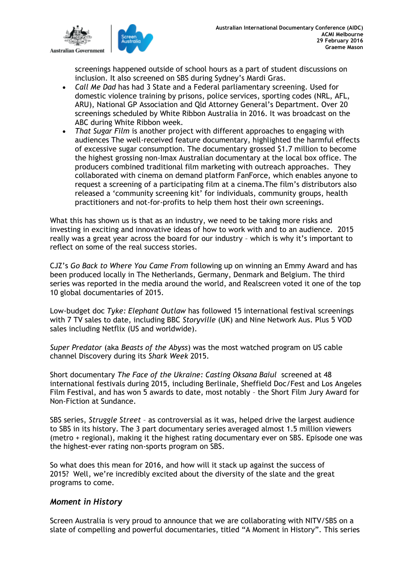

screenings happened outside of school hours as a part of student discussions on inclusion. It also screened on SBS during Sydney's Mardi Gras.

- *Call Me Dad* has had 3 State and a Federal parliamentary screening. Used for domestic violence training by prisons, police services, sporting codes (NRL, AFL, ARU), National GP Association and Qld Attorney General's Department. Over 20 screenings scheduled by White Ribbon Australia in 2016. It was broadcast on the ABC during White Ribbon week.
- *That Sugar Film* is another project with different approaches to engaging with audiences The well-received feature documentary*,* highlighted the harmful effects of excessive sugar consumption. The documentary grossed \$1.7 million to become the highest grossing non-Imax Australian documentary at the local box office. The producers combined traditional film marketing with outreach approaches. They collaborated with cinema on demand platform FanForce, which enables anyone to request a screening of a participating film at a cinema.The film's distributors also released a 'community screening kit' for individuals, community groups, health practitioners and not-for-profits to help them host their own screenings.

What this has shown us is that as an industry, we need to be taking more risks and investing in exciting and innovative ideas of how to work with and to an audience. 2015 really was a great year across the board for our industry – which is why it's important to reflect on some of the real success stories.

CJZ's *Go Back to Where You Came From* following up on winning an Emmy Award and has been produced locally in The Netherlands, Germany, Denmark and Belgium. The third series was reported in the media around the world, and Realscreen voted it one of the top 10 global documentaries of 2015.

Low-budget doc *Tyke: Elephant Outlaw* has followed 15 international festival screenings with 7 TV sales to date, including BBC *Storyville* (UK) and Nine Network Aus. Plus 5 VOD sales including Netflix (US and worldwide).

*Super Predator* (aka *Beasts of the Abyss*) was the most watched program on US cable channel Discovery during its *Shark Week* 2015.

Short documentary *The Face of the Ukraine: Casting Oksana Baiul* screened at 48 international festivals during 2015, including Berlinale, Sheffield Doc/Fest and Los Angeles Film Festival, and has won 5 awards to date, most notably – the Short Film Jury Award for Non-Fiction at Sundance.

SBS series, *Struggle Street* – as controversial as it was, helped drive the largest audience to SBS in its history. The 3 part documentary series averaged almost 1.5 million viewers (metro + regional), making it the highest rating documentary ever on SBS. Episode one was the highest-ever rating non-sports program on SBS.

So what does this mean for 2016, and how will it stack up against the success of 2015? Well, we're incredibly excited about the diversity of the slate and the great programs to come.

## *Moment in History*

Screen Australia is very proud to announce that we are collaborating with NITV/SBS on a slate of compelling and powerful documentaries, titled "A Moment in History". This series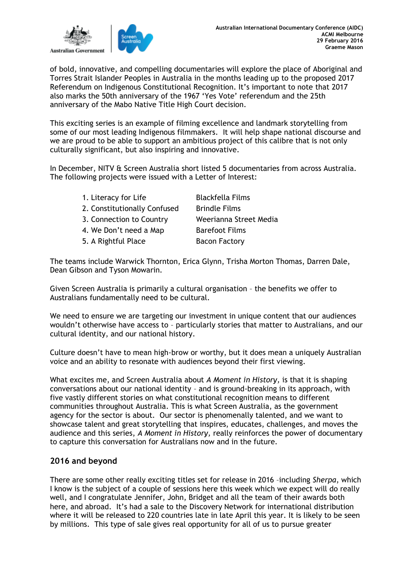

of bold, innovative, and compelling documentaries will explore the place of Aboriginal and Torres Strait Islander Peoples in Australia in the months leading up to the proposed 2017 Referendum on Indigenous Constitutional Recognition. It's important to note that 2017 also marks the 50th anniversary of the 1967 'Yes Vote' referendum and the 25th anniversary of the Mabo Native Title High Court decision.

This exciting series is an example of filming excellence and landmark storytelling from some of our most leading Indigenous filmmakers. It will help shape national discourse and we are proud to be able to support an ambitious project of this calibre that is not only culturally significant, but also inspiring and innovative.

In December, NITV & Screen Australia short listed 5 documentaries from across Australia. The following projects were issued with a Letter of Interest:

| 1. Literacy for Life         | <b>Blackfella Films</b> |
|------------------------------|-------------------------|
| 2. Constitutionally Confused | <b>Brindle Films</b>    |
| 3. Connection to Country     | Weerianna Street Media  |
| 4. We Don't need a Map       | <b>Barefoot Films</b>   |
| 5. A Rightful Place          | <b>Bacon Factory</b>    |
|                              |                         |

The teams include Warwick Thornton, Erica Glynn, Trisha Morton Thomas, Darren Dale, Dean Gibson and Tyson Mowarin.

Given Screen Australia is primarily a cultural organisation – the benefits we offer to Australians fundamentally need to be cultural.

We need to ensure we are targeting our investment in unique content that our audiences wouldn't otherwise have access to – particularly stories that matter to Australians, and our cultural identity, and our national history.

Culture doesn't have to mean high-brow or worthy, but it does mean a uniquely Australian voice and an ability to resonate with audiences beyond their first viewing.

What excites me, and Screen Australia about *A Moment in History,* is that it is shaping conversations about our national identity – and is ground-breaking in its approach, with five vastly different stories on what constitutional recognition means to different communities throughout Australia. This is what Screen Australia, as the government agency for the sector is about. Our sector is phenomenally talented, and we want to showcase talent and great storytelling that inspires, educates, challenges, and moves the audience and this series, *A Moment in History,* really reinforces the power of documentary to capture this conversation for Australians now and in the future.

## **2016 and beyond**

There are some other really exciting titles set for release in 2016 –including *Sherpa*, which I know is the subject of a couple of sessions here this week which we expect will do really well, and I congratulate Jennifer, John, Bridget and all the team of their awards both here, and abroad. It's had a sale to the Discovery Network for international distribution where it will be released to 220 countries late in late April this year. It is likely to be seen by millions. This type of sale gives real opportunity for all of us to pursue greater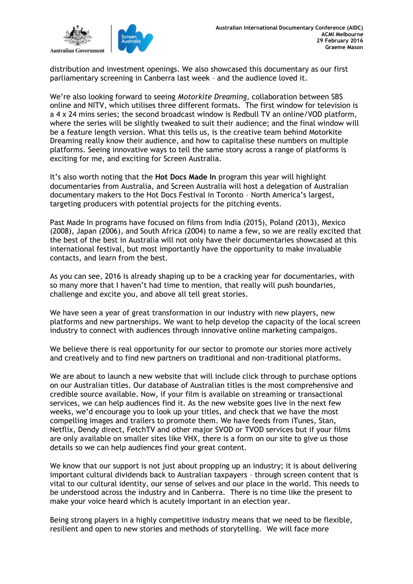

distribution and investment openings. We also showcased this documentary as our first parliamentary screening in Canberra last week – and the audience loved it.

We're also looking forward to seeing *Motorkite Dreaming,* collaboration between SBS online and NITV, which utilises three different formats. The first window for television is a 4 x 24 mins series; the second broadcast window is Redbull TV an online/VOD platform, where the series will be slightly tweaked to suit their audience; and the final window will be a feature length version. What this tells us, is the creative team behind Motorkite Dreaming really know their audience, and how to capitalise these numbers on multiple platforms. Seeing innovative ways to tell the same story across a range of platforms is exciting for me, and exciting for Screen Australia.

It's also worth noting that the **Hot Docs Made In** program this year will highlight documentaries from Australia, and Screen Australia will host a delegation of Australian documentary makers to the Hot Docs Festival in Toronto – North America's largest, targeting producers with potential projects for the pitching events.

Past Made In programs have focused on films from India (2015), Poland (2013), Mexico (2008), Japan (2006), and South Africa (2004) to name a few, so we are really excited that the best of the best in Australia will not only have their documentaries showcased at this international festival, but most importantly have the opportunity to make invaluable contacts, and learn from the best.

As you can see, 2016 is already shaping up to be a cracking year for documentaries, with so many more that I haven't had time to mention, that really will push boundaries, challenge and excite you, and above all tell great stories.

We have seen a year of great transformation in our industry with new players, new platforms and new partnerships. We want to help develop the capacity of the local screen industry to connect with audiences through innovative online marketing campaigns.

We believe there is real opportunity for our sector to promote our stories more actively and creatively and to find new partners on traditional and non-traditional platforms.

We are about to launch a new website that will include click through to purchase options on our Australian titles. Our database of Australian titles is the most comprehensive and credible source available. Now, if your film is available on streaming or transactional services, we can help audiences find it. As the new website goes live in the next few weeks, we'd encourage you to look up your titles, and check that we have the most compelling images and trailers to promote them. We have feeds from iTunes, Stan, Netflix, Dendy direct, FetchTV and other major SVOD or TVOD services but if your films are only available on smaller sites like VHX, there is a form on our site to give us those details so we can help audiences find your great content.

We know that our support is not just about propping up an industry; it is about delivering important cultural dividends back to Australian taxpayers – through screen content that is vital to our cultural identity, our sense of selves and our place in the world. This needs to be understood across the industry and in Canberra. There is no time like the present to make your voice heard which is acutely important in an election year.

Being strong players in a highly competitive industry means that we need to be flexible, resilient and open to new stories and methods of storytelling. We will face more